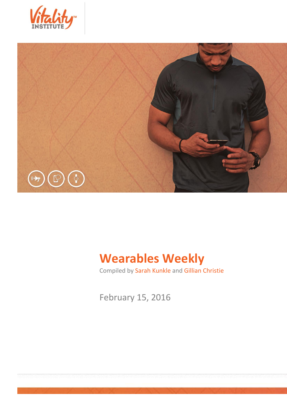



# **Wearables Weekly**

Compiled by Sarah Kunkle and Gillian Christie

February 15, 2016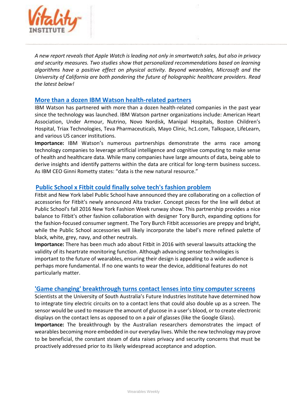

*A new report reveals that Apple Watch is leading not only in smartwatch sales, but also in privacy and security measures. Two studies show that personalized recommendations based on learning algorithms have a positive effect on physical activity. Beyond wearables, Microsoft and the University of California are both pondering the future of holographic healthcare providers. Read the latest below!*

#### **[More than a dozen IBM Watson health-related partners](http://mobihealthnews.com/content/roundup-more-dozen-ibm-watson-health-related-partnerships)**

IBM Watson has partnered with more than a dozen health-related companies in the past year since the technology was launched. IBM Watson partner organizations include: American Heart Association, Under Armour, Nutrino, Novo Nordisk, Manipal Hospitals, Boston Children's Hospital, Triax Technologies, Teva Pharmaceuticals, Mayo Clinic, hc1.com, Talkspace, LifeLearn, and various US cancer institutions.

**Importance:** IBM Watson's numerous partnerships demonstrate the arms race among technology companies to leverage artificial intelligence and cognitive computing to make sense of health and healthcare data. While many companies have large amounts of data, being able to derive insights and identify patterns within the data are critical for long-term business success. As IBM CEO Ginni Rometty states: "data is the new natural resource."

### **[Public School x Fitbit could finally solve tech's fashion problem](http://www.racked.com/2016/2/10/10951858/public-school-fitbit)**

Fitbit and New York label Public School have announced they are collaborating on a collection of accessories for Fitbit's newly announced Alta tracker. Concept pieces for the line will debut at Public School's fall 2016 New York Fashion Week runway show. This partnership provides a nice balance to Fitbit's other fashion collaboration with designer Tory Burch, expanding options for the fashion-focused consumer segment. The Tory Burch Fitbit accessories are preppy and bright, while the Public School accessories will likely incorporate the label's more refined palette of black, white, grey, navy, and other neutrals.

**Importance:** There has been much ado about Fitbit in 2016 with several lawsuits attacking the validity of its heartrate monitoring function. Although advancing sensor technologies is important to the future of wearables, ensuring their design is appealing to a wide audience is perhaps more fundamental. If no one wants to wear the device, additional features do not particularly matter.

#### **['Game changing' breakthrough turns contact lenses into tiny computer screens](http://www.techradar.com/us/news/wearables/-game-changing-breakthrough-turns-contact-lenses-into-tiny-computer-screens-1314392?src=rss&attr=all&utm_content=bufferbbc62&utm_medium=social&utm_source=twitter.com&utm_campaign=buffer)**

Scientists at the University of South Australia's Future Industries Institute have determined how to integrate tiny electric circuits on to a contact lens that could also double up as a screen. The sensor would be used to measure the amount of glucose in a user's blood, or to create electronic displays on the contact lens as opposed to on a pair of glasses (like the Google Glass).

**Importance:** The breakthrough by the Australian researchers demonstrates the impact of wearables becoming more embedded in our everyday lives. While the new technology may prove to be beneficial, the constant steam of data raises privacy and security concerns that must be proactively addressed prior to its likely widespread acceptance and adoption.